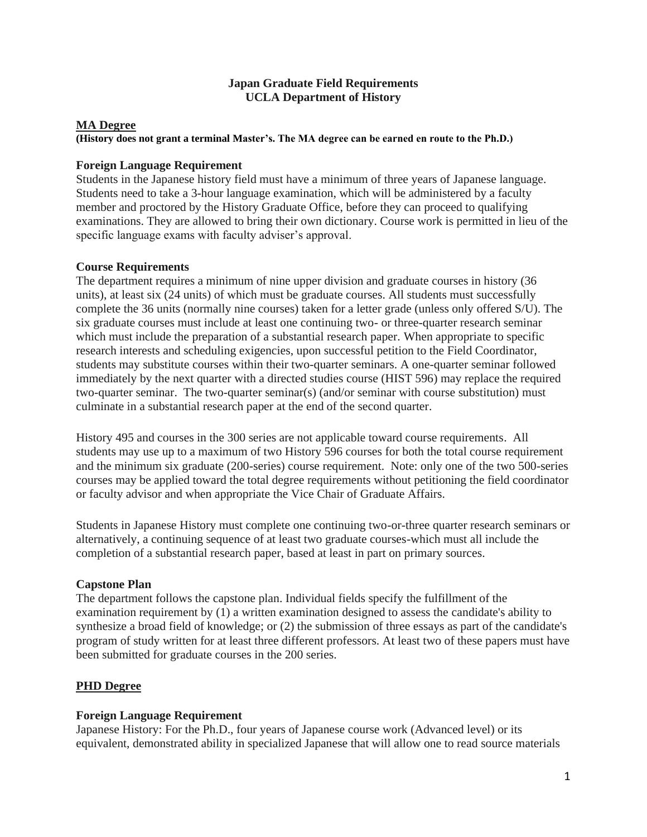# **Japan Graduate Field Requirements UCLA Department of History**

## **MA Degree**

#### **(History does not grant a terminal Master's. The MA degree can be earned en route to the Ph.D.)**

### **Foreign Language Requirement**

Students in the Japanese history field must have a minimum of three years of Japanese language. Students need to take a 3-hour language examination, which will be administered by a faculty member and proctored by the History Graduate Office, before they can proceed to qualifying examinations. They are allowed to bring their own dictionary. Course work is permitted in lieu of the specific language exams with faculty adviser's approval.

## **Course Requirements**

The department requires a minimum of nine upper division and graduate courses in history (36 units), at least six (24 units) of which must be graduate courses. All students must successfully complete the 36 units (normally nine courses) taken for a letter grade (unless only offered S/U). The six graduate courses must include at least one continuing two- or three-quarter research seminar which must include the preparation of a substantial research paper. When appropriate to specific research interests and scheduling exigencies, upon successful petition to the Field Coordinator, students may substitute courses within their two-quarter seminars. A one-quarter seminar followed immediately by the next quarter with a directed studies course (HIST 596) may replace the required two-quarter seminar. The two-quarter seminar(s) (and/or seminar with course substitution) must culminate in a substantial research paper at the end of the second quarter.

History 495 and courses in the 300 series are not applicable toward course requirements. All students may use up to a maximum of two History 596 courses for both the total course requirement and the minimum six graduate (200-series) course requirement. Note: only one of the two 500-series courses may be applied toward the total degree requirements without petitioning the field coordinator or faculty advisor and when appropriate the Vice Chair of Graduate Affairs.

Students in Japanese History must complete one continuing two-or-three quarter research seminars or alternatively, a continuing sequence of at least two graduate courses-which must all include the completion of a substantial research paper, based at least in part on primary sources.

### **Capstone Plan**

The department follows the capstone plan. Individual fields specify the fulfillment of the examination requirement by (1) a written examination designed to assess the candidate's ability to synthesize a broad field of knowledge; or (2) the submission of three essays as part of the candidate's program of study written for at least three different professors. At least two of these papers must have been submitted for graduate courses in the 200 series.

# **PHD Degree**

### **Foreign Language Requirement**

Japanese History: For the Ph.D., four years of Japanese course work (Advanced level) or its equivalent, demonstrated ability in specialized Japanese that will allow one to read source materials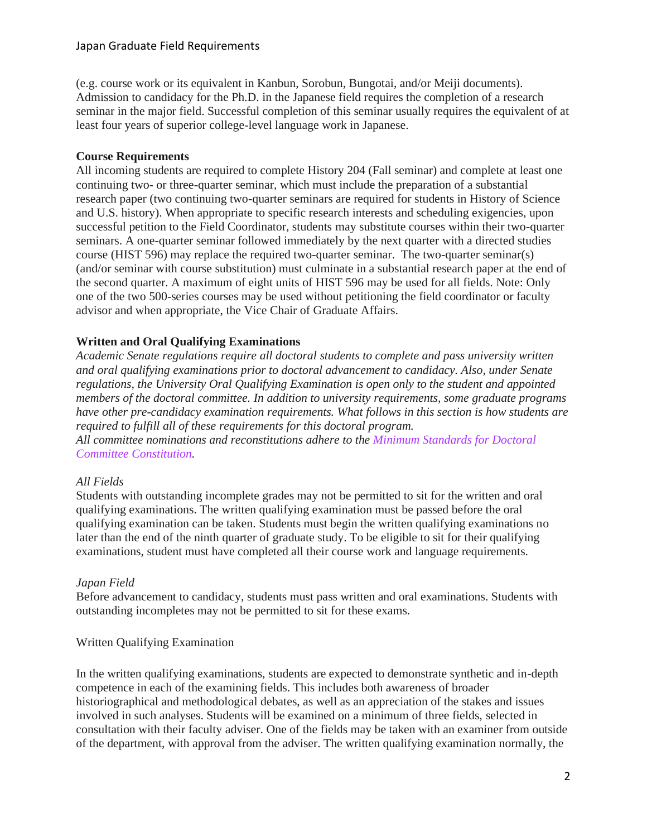# Japan Graduate Field Requirements

(e.g. course work or its equivalent in Kanbun, Sorobun, Bungotai, and/or Meiji documents). Admission to candidacy for the Ph.D. in the Japanese field requires the completion of a research seminar in the major field. Successful completion of this seminar usually requires the equivalent of at least four years of superior college-level language work in Japanese.

## **Course Requirements**

All incoming students are required to complete History 204 (Fall seminar) and complete at least one continuing two- or three-quarter seminar, which must include the preparation of a substantial research paper (two continuing two-quarter seminars are required for students in History of Science and U.S. history). When appropriate to specific research interests and scheduling exigencies, upon successful petition to the Field Coordinator, students may substitute courses within their two-quarter seminars. A one-quarter seminar followed immediately by the next quarter with a directed studies course (HIST 596) may replace the required two-quarter seminar. The two-quarter seminar(s) (and/or seminar with course substitution) must culminate in a substantial research paper at the end of the second quarter. A maximum of eight units of HIST 596 may be used for all fields. Note: Only one of the two 500-series courses may be used without petitioning the field coordinator or faculty advisor and when appropriate, the Vice Chair of Graduate Affairs.

## **Written and Oral Qualifying Examinations**

*Academic Senate regulations require all doctoral students to complete and pass university written and oral qualifying examinations prior to doctoral advancement to candidacy. Also, under Senate regulations, the University Oral Qualifying Examination is open only to the student and appointed members of the doctoral committee. In addition to university requirements, some graduate programs have other pre-candidacy examination requirements. What follows in this section is how students are required to fulfill all of these requirements for this doctoral program.*

*All committee nominations and reconstitutions adhere to the Minimum [Standards](https://grad.ucla.edu/academics/doctoral-studies/minimum-standards-for-doctoral-committee-constitution-effective-2016-fall/) for Doctoral Committee [Constitution.](https://grad.ucla.edu/academics/doctoral-studies/minimum-standards-for-doctoral-committee-constitution-effective-2016-fall/)*

### *All Fields*

Students with outstanding incomplete grades may not be permitted to sit for the written and oral qualifying examinations. The written qualifying examination must be passed before the oral qualifying examination can be taken. Students must begin the written qualifying examinations no later than the end of the ninth quarter of graduate study. To be eligible to sit for their qualifying examinations, student must have completed all their course work and language requirements.

### *Japan Field*

Before advancement to candidacy, students must pass written and oral examinations. Students with outstanding incompletes may not be permitted to sit for these exams.

### Written Qualifying Examination

In the written qualifying examinations, students are expected to demonstrate synthetic and in-depth competence in each of the examining fields. This includes both awareness of broader historiographical and methodological debates, as well as an appreciation of the stakes and issues involved in such analyses. Students will be examined on a minimum of three fields, selected in consultation with their faculty adviser. One of the fields may be taken with an examiner from outside of the department, with approval from the adviser. The written qualifying examination normally, the